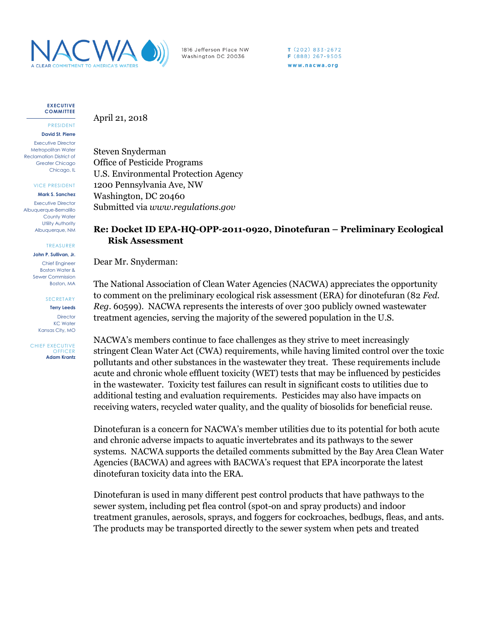

1816 Jefferson Place NW Washington DC 20036

 $T(202)833-2672$ F (888) 267-9505 www.nacwa.org

**EXECUTIVE COMMITTEE**

PRESIDENT **David St. Pierre**

Executive Director Metropolitan Water Reclamation District of Greater Chicago Chicago, IL

VICE PRESIDENT

**Mark S. Sanchez** Executive Director Albuquerque-Bernalillo

County Water Utility Authority Albuquerque, NM

TREASURER

**John P. Sullivan, Jr.** Chief Engineer Boston Water & Sewer Commission Boston, MA

**SECRETARY** 

**Terry Leeds Director** KC Water Kansas City, MO

CHIEF EXECUTIVE **OFFICER Adam Krantz** April 21, 2018

Steven Snyderman Office of Pesticide Programs U.S. Environmental Protection Agency 1200 Pennsylvania Ave, NW Washington, DC 20460 Submitted via *www.regulations.gov*

## **Re: Docket ID EPA-HQ-OPP-2011-0920, Dinotefuran – Preliminary Ecological Risk Assessment**

Dear Mr. Snyderman:

The National Association of Clean Water Agencies (NACWA) appreciates the opportunity to comment on the preliminary ecological risk assessment (ERA) for dinotefuran (82 *Fed. Reg*. 60599). NACWA represents the interests of over 300 publicly owned wastewater treatment agencies, serving the majority of the sewered population in the U.S.

NACWA's members continue to face challenges as they strive to meet increasingly stringent Clean Water Act (CWA) requirements, while having limited control over the toxic pollutants and other substances in the wastewater they treat. These requirements include acute and chronic whole effluent toxicity (WET) tests that may be influenced by pesticides in the wastewater. Toxicity test failures can result in significant costs to utilities due to additional testing and evaluation requirements. Pesticides may also have impacts on receiving waters, recycled water quality, and the quality of biosolids for beneficial reuse.

Dinotefuran is a concern for NACWA's member utilities due to its potential for both acute and chronic adverse impacts to aquatic invertebrates and its pathways to the sewer systems. NACWA supports the detailed comments submitted by the Bay Area Clean Water Agencies (BACWA) and agrees with BACWA's request that EPA incorporate the latest dinotefuran toxicity data into the ERA.

Dinotefuran is used in many different pest control products that have pathways to the sewer system, including pet flea control (spot-on and spray products) and indoor treatment granules, aerosols, sprays, and foggers for cockroaches, bedbugs, fleas, and ants. The products may be transported directly to the sewer system when pets and treated